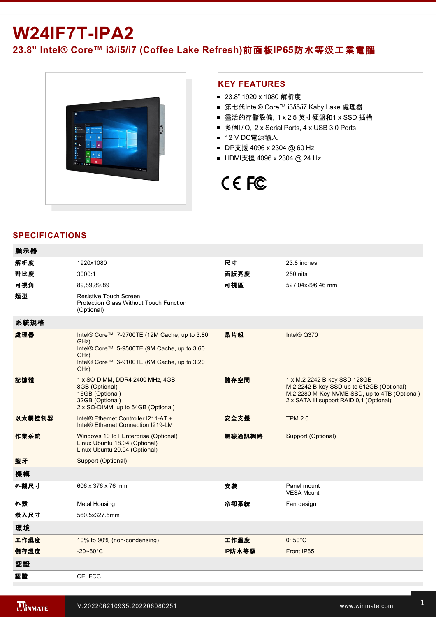## **W24IF7T-IPA2**

**23.8" Intel® Core™ i3/i5/i7 (Coffee Lake Refresh)**前面板**IP65**防水等级工業電腦



## **KEY FEATURES**

- 23.8" 1920 x 1080 解析度
- 第七代Intel® Core™ i3/i5/i7 Kaby Lake 處理器
- 靈活的存儲設備, 1 x 2.5 英寸硬盤和1 x SSD 插槽
- 多個I/O, 2 x Serial Ports, 4 x USB 3.0 Ports
- 12 V DC電源輸入
- DP支援 4096 x 2304 @ 60 Hz
- HDMI支援 4096 x 2304 @ 24 Hz

# CE FC

## **SPECIFICATIONS**

| 顯示器    |                                                                                                                                                                       |        |                                                                                                                                                                        |
|--------|-----------------------------------------------------------------------------------------------------------------------------------------------------------------------|--------|------------------------------------------------------------------------------------------------------------------------------------------------------------------------|
| 解析度    | 1920x1080                                                                                                                                                             | 尺寸     | 23.8 inches                                                                                                                                                            |
| 對比度    | 3000:1                                                                                                                                                                | 面版亮度   | 250 nits                                                                                                                                                               |
| 可視角    | 89,89,89,89                                                                                                                                                           | 可視區    | 527.04x296.46 mm                                                                                                                                                       |
| 類型     | Resistive Touch Screen<br><b>Protection Glass Without Touch Function</b><br>(Optional)                                                                                |        |                                                                                                                                                                        |
| 系統規格   |                                                                                                                                                                       |        |                                                                                                                                                                        |
| 處理器    | Intel® Core™ i7-9700TE (12M Cache, up to 3.80<br>GHz)<br>Intel® Core™ i5-9500TE (9M Cache, up to 3.60<br>GHz)<br>Intel® Core™ i3-9100TE (6M Cache, up to 3.20<br>GHz) | 晶片組    | Intel® Q370                                                                                                                                                            |
| 記憶體    | 1 x SO-DIMM, DDR4 2400 MHz, 4GB<br>8GB (Optional)<br>16GB (Optional)<br>32GB (Optional)<br>2 x SO-DIMM, up to 64GB (Optional)                                         | 儲存空間   | 1 x M.2 2242 B-key SSD 128GB<br>M.2 2242 B-key SSD up to 512GB (Optional)<br>M.2 2280 M-Key NVME SSD, up to 4TB (Optional)<br>2 x SATA III support RAID 0,1 (Optional) |
| 以太網控制器 | Intel® Ethernet Controller I211-AT +<br>Intel <sup>®</sup> Ethernet Connection I219-LM                                                                                | 安全支援   | <b>TPM 2.0</b>                                                                                                                                                         |
| 作業系統   | Windows 10 IoT Enterprise (Optional)<br>Linux Ubuntu 18.04 (Optional)<br>Linux Ubuntu 20.04 (Optional)                                                                | 無線通訊網路 | Support (Optional)                                                                                                                                                     |
| 藍牙     | Support (Optional)                                                                                                                                                    |        |                                                                                                                                                                        |
| 機構     |                                                                                                                                                                       |        |                                                                                                                                                                        |
| 外觀尺寸   | 606 x 376 x 76 mm                                                                                                                                                     | 安裝     | Panel mount<br><b>VESA Mount</b>                                                                                                                                       |
| 外殼     | <b>Metal Housing</b>                                                                                                                                                  | 冷卻系統   | Fan design                                                                                                                                                             |
| 嵌入尺寸   | 560.5x327.5mm                                                                                                                                                         |        |                                                                                                                                                                        |
| 環境     |                                                                                                                                                                       |        |                                                                                                                                                                        |
| 工作濕度   | 10% to 90% (non-condensing)                                                                                                                                           | 工作溫度   | $0\negthinspace\negthinspace\negthinspace 50^{\circ}\mathrm{C}$                                                                                                        |
| 儲存溫度   | $-20 - 60^{\circ}$ C                                                                                                                                                  | IP防水等級 | Front IP65                                                                                                                                                             |
| 認證     |                                                                                                                                                                       |        |                                                                                                                                                                        |
| 認證     | CE, FCC                                                                                                                                                               |        |                                                                                                                                                                        |